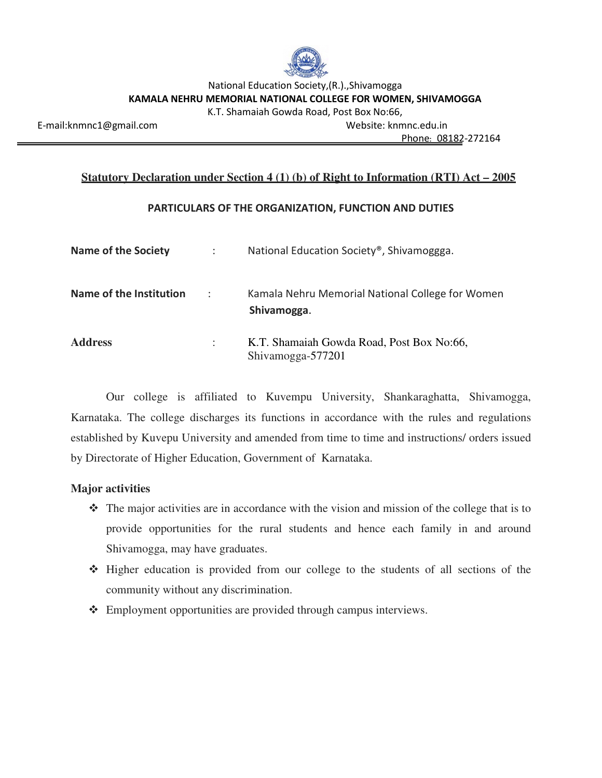

National Education Society,(R.).,Shivamogga **KAMALA NEHRU MEMORIAL NATIONAL COLLEGE FOR WOMEN, SHIVAMOGGA** 

K.T. Shamaiah Gowda Road, Post Box No:66,

E-mail:knmnc1@gmail.com Website: knmnc.edu.in

Phone: 08182-272164

### **Statutory Declaration under Section 4 (1) (b) of Right to Information (RTI) Act – 2005**

## **PARTICULARS OF THE ORGANIZATION, FUNCTION AND DUTIES**

| <b>Name of the Society</b> |   | National Education Society <sup>®</sup> , Shivamoggga.          |
|----------------------------|---|-----------------------------------------------------------------|
| Name of the Institution    | ÷ | Kamala Nehru Memorial National College for Women<br>Shivamogga. |
| <b>Address</b>             |   | K.T. Shamaiah Gowda Road, Post Box No:66,<br>Shivamogga-577201  |

Our college is affiliated to Kuvempu University, Shankaraghatta, Shivamogga, Karnataka. The college discharges its functions in accordance with the rules and regulations established by Kuvepu University and amended from time to time and instructions/ orders issued by Directorate of Higher Education, Government of Karnataka.

## **Major activities**

- $\hat{\mathbf{\cdot}}$  The major activities are in accordance with the vision and mission of the college that is to provide opportunities for the rural students and hence each family in and around Shivamogga, may have graduates.
- Higher education is provided from our college to the students of all sections of the community without any discrimination.
- Employment opportunities are provided through campus interviews.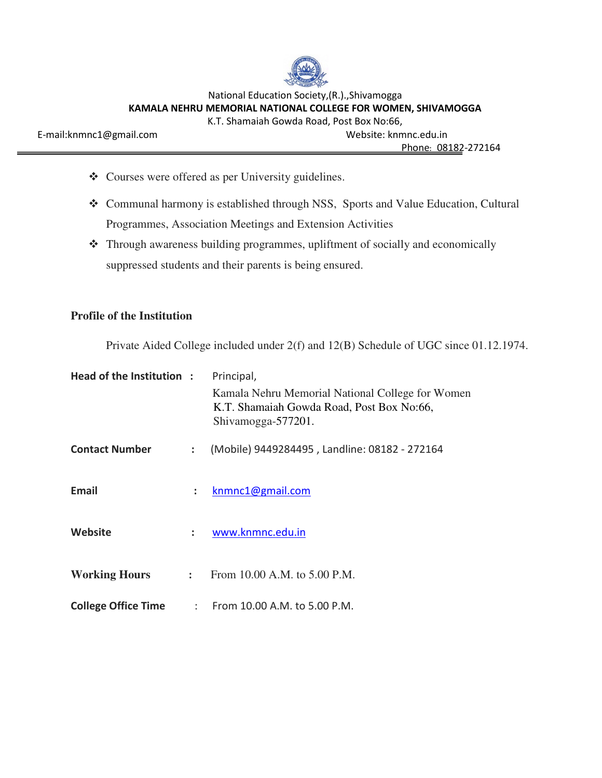

National Education Society,(R.).,Shivamogga **KAMALA NEHRU MEMORIAL NATIONAL COLLEGE FOR WOMEN, SHIVAMOGGA** 

K.T. Shamaiah Gowda Road, Post Box No:66,

E-mail:knmnc1@gmail.com Website: knmnc.edu.in

Phone: 08182-272164

- Courses were offered as per University guidelines.
- Communal harmony is established through NSS, Sports and Value Education, Cultural Programmes, Association Meetings and Extension Activities
- Through awareness building programmes, upliftment of socially and economically suppressed students and their parents is being ensured.

## **Profile of the Institution**

Private Aided College included under 2(f) and 12(B) Schedule of UGC since 01.12.1974.

| Head of the Institution:   |   | Principal,                                                                                                          |  |
|----------------------------|---|---------------------------------------------------------------------------------------------------------------------|--|
|                            |   | Kamala Nehru Memorial National College for Women<br>K.T. Shamaiah Gowda Road, Post Box No:66,<br>Shivamogga-577201. |  |
| <b>Contact Number</b>      | ÷ | (Mobile) 9449284495, Landline: 08182 - 272164                                                                       |  |
| Email                      | ÷ | knmnc1@gmail.com                                                                                                    |  |
| Website                    | ÷ | www.knmnc.edu.in                                                                                                    |  |
| <b>Working Hours</b>       |   | : From 10.00 A.M. to $5.00$ P.M.                                                                                    |  |
| <b>College Office Time</b> |   | : From $10.00$ A.M. to $5.00$ P.M.                                                                                  |  |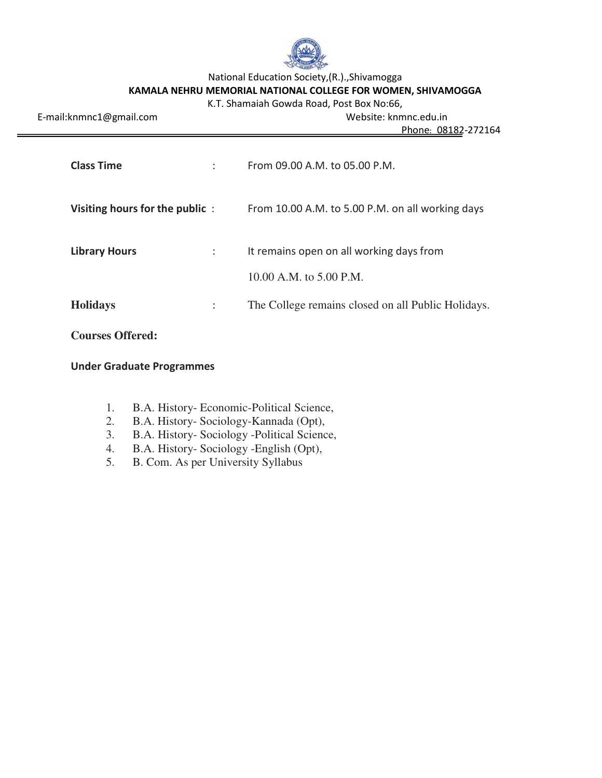

National Education Society,(R.).,Shivamogga

# **KAMALA NEHRU MEMORIAL NATIONAL COLLEGE FOR WOMEN, SHIVAMOGGA**

| K.T. Shamaiah Gowda Road, Post Box No:66, |  |
|-------------------------------------------|--|
|-------------------------------------------|--|

| E-mail:knmnc1@gmail.com        |   | Website: knmnc.edu.in<br>Phone: 08182-272164                        |
|--------------------------------|---|---------------------------------------------------------------------|
| <b>Class Time</b>              | ÷ | From 09.00 A.M. to 05.00 P.M.                                       |
| Visiting hours for the public: |   | From 10.00 A.M. to 5.00 P.M. on all working days                    |
| <b>Library Hours</b>           | ÷ | It remains open on all working days from<br>10.00 A.M. to 5.00 P.M. |
| <b>Holidays</b>                | ÷ | The College remains closed on all Public Holidays.                  |

## **Courses Offered:**

### **Under Graduate Programmes**

- 1. B.A. History- Economic-Political Science,
- 2. B.A. History- Sociology-Kannada (Opt),
- 3. B.A. History- Sociology -Political Science,
- 4. B.A. History- Sociology -English (Opt),<br>5. B. Com. As per University Syllabus
- 5. B. Com. As per University Syllabus